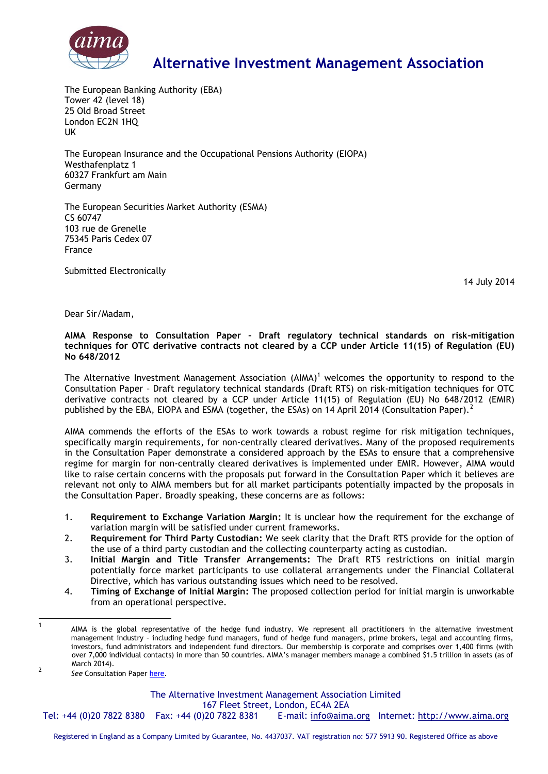

# **Alternative Investment Management Association**

The European Banking Authority (EBA) Tower 42 (level 18) 25 Old Broad Street London EC2N 1HQ UK

The European Insurance and the Occupational Pensions Authority (EIOPA) Westhafenplatz 1 60327 Frankfurt am Main Germany

The European Securities Market Authority (ESMA) CS 60747 103 rue de Grenelle 75345 Paris Cedex 07 France

Submitted Electronically

14 July 2014

Dear Sir/Madam,

#### **AIMA Response to Consultation Paper – Draft regulatory technical standards on risk-mitigation techniques for OTC derivative contracts not cleared by a CCP under Article 11(15) of Regulation (EU) No 648/2012**

The Alternative Investment Management Association (AIMA)<sup>1</sup> welcomes the opportunity to respond to the Consultation Paper – Draft regulatory technical standards (Draft RTS) on risk-mitigation techniques for OTC derivative contracts not cleared by a CCP under Article 11(15) of Regulation (EU) No 648/2012 (EMIR) published by the EBA, EIOPA and ESMA (together, the ESAs) on 14 April 2014 (Consultation Paper).<sup>2</sup>

AIMA commends the efforts of the ESAs to work towards a robust regime for risk mitigation techniques, specifically margin requirements, for non-centrally cleared derivatives. Many of the proposed requirements in the Consultation Paper demonstrate a considered approach by the ESAs to ensure that a comprehensive regime for margin for non-centrally cleared derivatives is implemented under EMIR. However, AIMA would like to raise certain concerns with the proposals put forward in the Consultation Paper which it believes are relevant not only to AIMA members but for all market participants potentially impacted by the proposals in the Consultation Paper. Broadly speaking, these concerns are as follows:

- 1. **Requirement to Exchange Variation Margin:** It is unclear how the requirement for the exchange of variation margin will be satisfied under current frameworks.
- 2. **Requirement for Third Party Custodian:** We seek clarity that the Draft RTS provide for the option of the use of a third party custodian and the collecting counterparty acting as custodian.
- 3. **Initial Margin and Title Transfer Arrangements:** The Draft RTS restrictions on initial margin potentially force market participants to use collateral arrangements under the Financial Collateral Directive, which has various outstanding issues which need to be resolved.
- 4. **Timing of Exchange of Initial Margin:** The proposed collection period for initial margin is unworkable from an operational perspective.

The Alternative Investment Management Association Limited

167 Fleet Street, London, EC4A 2EA

Tel: +44 (0)20 7822 8380 Fax: +44 (0)20 7822 8381 E-mail: [info@aima.org](mailto:info@aima.org) Internet: [http://www.aima.org](http://www.aima.org/)

Registered in England as a Company Limited by Guarantee, No. 4437037. VAT registration no: 577 5913 90. Registered Office as above

<sup>-&</sup>lt;br>1 AIMA is the global representative of the hedge fund industry. We represent all practitioners in the alternative investment management industry – including hedge fund managers, fund of hedge fund managers, prime brokers, legal and accounting firms, investors, fund administrators and independent fund directors. Our membership is corporate and comprises over 1,400 firms (with over 7,000 individual contacts) in more than 50 countries. AIMA's manager members manage a combined \$1.5 trillion in assets (as of March 2014).

 $\overline{2}$ *See* Consultation Pape[r here.](https://www.eba.europa.eu/documents/10180/655149/JC+CP+2014+03+%28CP+on+risk+mitigation+for+OTC+derivatives%29.pdf)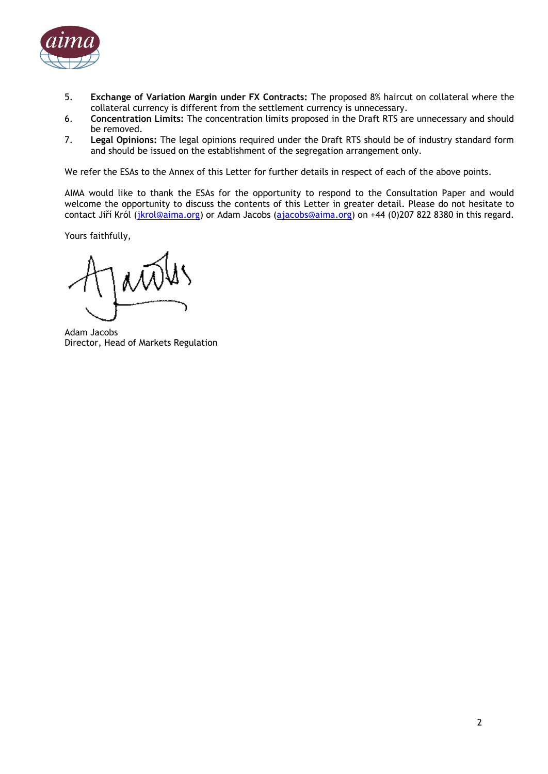

- 5. **Exchange of Variation Margin under FX Contracts:** The proposed 8% haircut on collateral where the collateral currency is different from the settlement currency is unnecessary.
- 6. **Concentration Limits:** The concentration limits proposed in the Draft RTS are unnecessary and should be removed.
- 7. **Legal Opinions:** The legal opinions required under the Draft RTS should be of industry standard form and should be issued on the establishment of the segregation arrangement only.

We refer the ESAs to the Annex of this Letter for further details in respect of each of the above points.

AIMA would like to thank the ESAs for the opportunity to respond to the Consultation Paper and would welcome the opportunity to discuss the contents of this Letter in greater detail. Please do not hesitate to contact Jiří Król [\(jkrol@aima.org\)](mailto:jkrol@aima.org) or Adam Jacobs [\(ajacobs@aima.org\)](mailto:ajacobs@aima.org) on +44 (0)207 822 8380 in this regard.

Yours faithfully,

Adam Jacobs Director, Head of Markets Regulation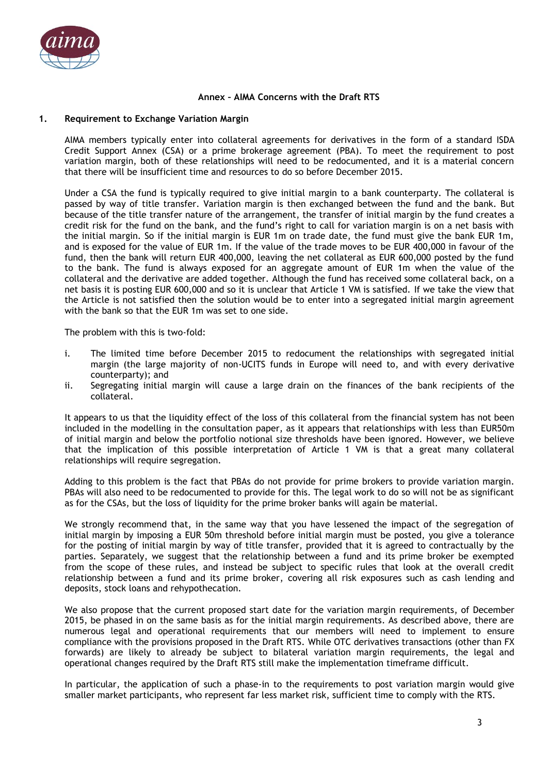

# **Annex – AIMA Concerns with the Draft RTS**

#### **1. Requirement to Exchange Variation Margin**

AIMA members typically enter into collateral agreements for derivatives in the form of a standard ISDA Credit Support Annex (CSA) or a prime brokerage agreement (PBA). To meet the requirement to post variation margin, both of these relationships will need to be redocumented, and it is a material concern that there will be insufficient time and resources to do so before December 2015.

Under a CSA the fund is typically required to give initial margin to a bank counterparty. The collateral is passed by way of title transfer. Variation margin is then exchanged between the fund and the bank. But because of the title transfer nature of the arrangement, the transfer of initial margin by the fund creates a credit risk for the fund on the bank, and the fund's right to call for variation margin is on a net basis with the initial margin. So if the initial margin is EUR 1m on trade date, the fund must give the bank EUR 1m, and is exposed for the value of EUR 1m. If the value of the trade moves to be EUR 400,000 in favour of the fund, then the bank will return EUR 400,000, leaving the net collateral as EUR 600,000 posted by the fund to the bank. The fund is always exposed for an aggregate amount of EUR 1m when the value of the collateral and the derivative are added together. Although the fund has received some collateral back, on a net basis it is posting EUR 600,000 and so it is unclear that Article 1 VM is satisfied. If we take the view that the Article is not satisfied then the solution would be to enter into a segregated initial margin agreement with the bank so that the EUR 1m was set to one side.

The problem with this is two-fold:

- i. The limited time before December 2015 to redocument the relationships with segregated initial margin (the large majority of non-UCITS funds in Europe will need to, and with every derivative counterparty); and
- ii. Segregating initial margin will cause a large drain on the finances of the bank recipients of the collateral.

It appears to us that the liquidity effect of the loss of this collateral from the financial system has not been included in the modelling in the consultation paper, as it appears that relationships with less than EUR50m of initial margin and below the portfolio notional size thresholds have been ignored. However, we believe that the implication of this possible interpretation of Article 1 VM is that a great many collateral relationships will require segregation.

Adding to this problem is the fact that PBAs do not provide for prime brokers to provide variation margin. PBAs will also need to be redocumented to provide for this. The legal work to do so will not be as significant as for the CSAs, but the loss of liquidity for the prime broker banks will again be material.

We strongly recommend that, in the same way that you have lessened the impact of the segregation of initial margin by imposing a EUR 50m threshold before initial margin must be posted, you give a tolerance for the posting of initial margin by way of title transfer, provided that it is agreed to contractually by the parties. Separately, we suggest that the relationship between a fund and its prime broker be exempted from the scope of these rules, and instead be subject to specific rules that look at the overall credit relationship between a fund and its prime broker, covering all risk exposures such as cash lending and deposits, stock loans and rehypothecation.

We also propose that the current proposed start date for the variation margin requirements, of December 2015, be phased in on the same basis as for the initial margin requirements. As described above, there are numerous legal and operational requirements that our members will need to implement to ensure compliance with the provisions proposed in the Draft RTS. While OTC derivatives transactions (other than FX forwards) are likely to already be subject to bilateral variation margin requirements, the legal and operational changes required by the Draft RTS still make the implementation timeframe difficult.

In particular, the application of such a phase-in to the requirements to post variation margin would give smaller market participants, who represent far less market risk, sufficient time to comply with the RTS.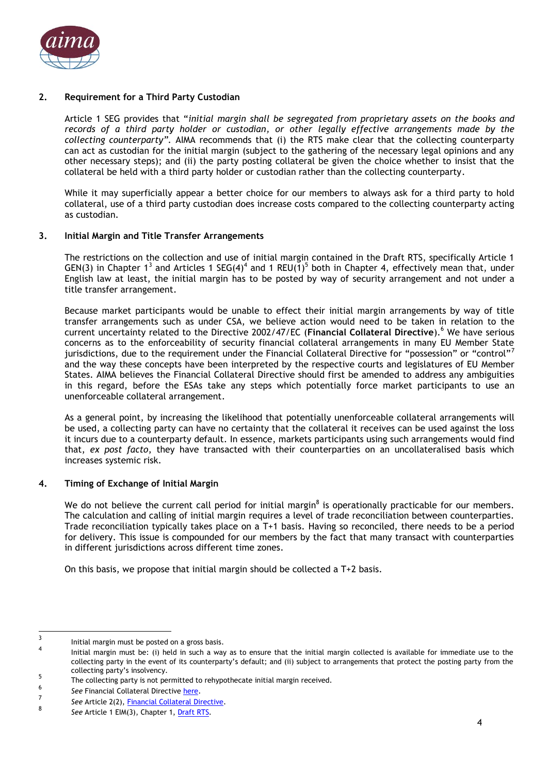

# **2. Requirement for a Third Party Custodian**

Article 1 SEG provides that "*initial margin shall be segregated from proprietary assets on the books and records of a third party holder or custodian, or other legally effective arrangements made by the collecting counterparty".* AIMA recommends that (i) the RTS make clear that the collecting counterparty can act as custodian for the initial margin (subject to the gathering of the necessary legal opinions and any other necessary steps); and (ii) the party posting collateral be given the choice whether to insist that the collateral be held with a third party holder or custodian rather than the collecting counterparty.

While it may superficially appear a better choice for our members to always ask for a third party to hold collateral, use of a third party custodian does increase costs compared to the collecting counterparty acting as custodian.

#### **3. Initial Margin and Title Transfer Arrangements**

The restrictions on the collection and use of initial margin contained in the Draft RTS, specifically Article 1 GEN(3) in Chapter 1<sup>3</sup> and Articles 1 SEG(4)<sup>4</sup> and 1 REU(1)<sup>5</sup> both in Chapter 4, effectively mean that, under English law at least, the initial margin has to be posted by way of security arrangement and not under a title transfer arrangement.

Because market participants would be unable to effect their initial margin arrangements by way of title transfer arrangements such as under CSA, we believe action would need to be taken in relation to the current uncertainty related to the Directive 2002/47/EC (**Financial Collateral Directive**). <sup>6</sup> We have serious concerns as to the enforceability of security financial collateral arrangements in many EU Member State jurisdictions, due to the requirement under the Financial Collateral Directive for "possession" or "control"<sup>7</sup> and the way these concepts have been interpreted by the respective courts and legislatures of EU Member States. AIMA believes the Financial Collateral Directive should first be amended to address any ambiguities in this regard, before the ESAs take any steps which potentially force market participants to use an unenforceable collateral arrangement.

As a general point, by increasing the likelihood that potentially unenforceable collateral arrangements will be used, a collecting party can have no certainty that the collateral it receives can be used against the loss it incurs due to a counterparty default. In essence, markets participants using such arrangements would find that, *ex post facto*, they have transacted with their counterparties on an uncollateralised basis which increases systemic risk.

## **4. Timing of Exchange of Initial Margin**

We do not believe the current call period for initial margin $^8$  is operationally practicable for our members. The calculation and calling of initial margin requires a level of trade reconciliation between counterparties. Trade reconciliation typically takes place on a T+1 basis. Having so reconciled, there needs to be a period for delivery. This issue is compounded for our members by the fact that many transact with counterparties in different jurisdictions across different time zones.

On this basis, we propose that initial margin should be collected a T+2 basis.

 $\frac{1}{3}$ Initial margin must be posted on a gross basis.

<sup>4</sup> Initial margin must be: (i) held in such a way as to ensure that the initial margin collected is available for immediate use to the collecting party in the event of its counterparty's default; and (ii) subject to arrangements that protect the posting party from the collecting party's insolvency.

<sup>5</sup> The collecting party is not permitted to rehypothecate initial margin received.

<sup>6</sup> *See* Financial Collateral Directive [here.](http://eur-lex.europa.eu/legal-content/EN/TXT/PDF/?uri=CELEX:32002L0047&from=EN)

<sup>7</sup> *See* Article 2(2), [Financial Collateral Directive.](http://eur-lex.europa.eu/legal-content/EN/TXT/PDF/?uri=CELEX:32002L0047&from=EN)

<sup>8</sup> *See* Article 1 EIM(3), Chapter 1, [Draft RTS.](https://www.eba.europa.eu/documents/10180/655149/JC+CP+2014+03+%28CP+on+risk+mitigation+for+OTC+derivatives%29.pdf)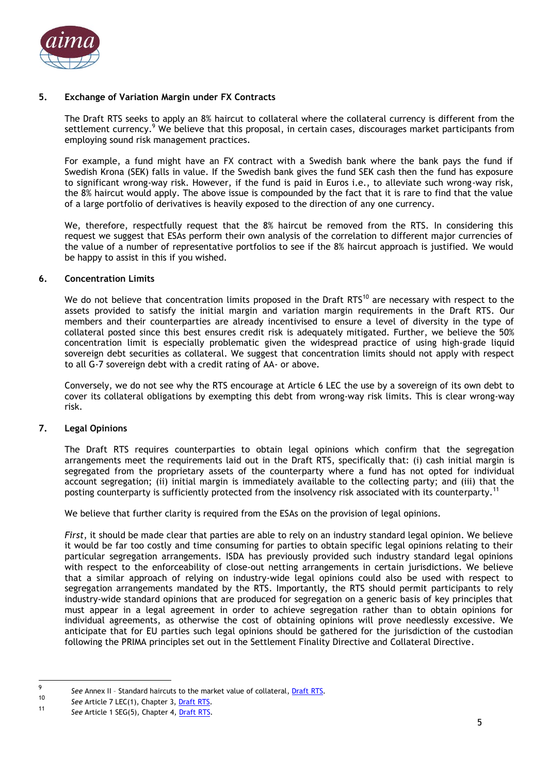

## **5. Exchange of Variation Margin under FX Contracts**

The Draft RTS seeks to apply an 8% haircut to collateral where the collateral currency is different from the settlement currency.<sup>9</sup> We believe that this proposal, in certain cases, discourages market participants from employing sound risk management practices.

For example, a fund might have an FX contract with a Swedish bank where the bank pays the fund if Swedish Krona (SEK) falls in value. If the Swedish bank gives the fund SEK cash then the fund has exposure to significant wrong-way risk. However, if the fund is paid in Euros i.e., to alleviate such wrong-way risk, the 8% haircut would apply. The above issue is compounded by the fact that it is rare to find that the value of a large portfolio of derivatives is heavily exposed to the direction of any one currency.

We, therefore, respectfully request that the 8% haircut be removed from the RTS. In considering this request we suggest that ESAs perform their own analysis of the correlation to different major currencies of the value of a number of representative portfolios to see if the 8% haircut approach is justified. We would be happy to assist in this if you wished.

## **6. Concentration Limits**

We do not believe that concentration limits proposed in the Draft RTS<sup>10</sup> are necessary with respect to the assets provided to satisfy the initial margin and variation margin requirements in the Draft RTS. Our members and their counterparties are already incentivised to ensure a level of diversity in the type of collateral posted since this best ensures credit risk is adequately mitigated. Further, we believe the 50% concentration limit is especially problematic given the widespread practice of using high-grade liquid sovereign debt securities as collateral. We suggest that concentration limits should not apply with respect to all G-7 sovereign debt with a credit rating of AA- or above.

Conversely, we do not see why the RTS encourage at Article 6 LEC the use by a sovereign of its own debt to cover its collateral obligations by exempting this debt from wrong-way risk limits. This is clear wrong-way risk.

## **7. Legal Opinions**

The Draft RTS requires counterparties to obtain legal opinions which confirm that the segregation arrangements meet the requirements laid out in the Draft RTS, specifically that: (i) cash initial margin is segregated from the proprietary assets of the counterparty where a fund has not opted for individual account segregation; (ii) initial margin is immediately available to the collecting party; and (iii) that the posting counterparty is sufficiently protected from the insolvency risk associated with its counterparty.<sup>1</sup>

We believe that further clarity is required from the ESAs on the provision of legal opinions.

*First*, it should be made clear that parties are able to rely on an industry standard legal opinion. We believe it would be far too costly and time consuming for parties to obtain specific legal opinions relating to their particular segregation arrangements. ISDA has previously provided such industry standard legal opinions with respect to the enforceability of close-out netting arrangements in certain jurisdictions. We believe that a similar approach of relying on industry-wide legal opinions could also be used with respect to segregation arrangements mandated by the RTS. Importantly, the RTS should permit participants to rely industry-wide standard opinions that are produced for segregation on a generic basis of key principles that must appear in a legal agreement in order to achieve segregation rather than to obtain opinions for individual agreements, as otherwise the cost of obtaining opinions will prove needlessly excessive. We anticipate that for EU parties such legal opinions should be gathered for the jurisdiction of the custodian following the PRIMA principles set out in the Settlement Finality Directive and Collateral Directive.

<sup>-&</sup>lt;br>9 *See* Annex II – Standard haircuts to the market value of collateral[, Draft RTS](https://www.eba.europa.eu/documents/10180/655149/JC+CP+2014+03+%28CP+on+risk+mitigation+for+OTC+derivatives%29.pdf).

<sup>10</sup> **See Article 7 LEC(1), Chapter 3, <u>Draft RTS</u>.** 

See Article 1 SEG(5), Chapter 4[, Draft RTS.](https://www.eba.europa.eu/documents/10180/655149/JC+CP+2014+03+%28CP+on+risk+mitigation+for+OTC+derivatives%29.pdf)